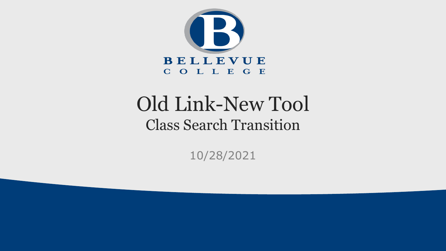

### Old Link-New Tool Class Search Transition

10/28/2021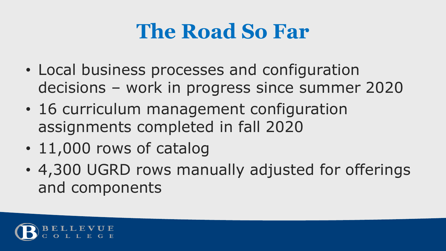### **The Road So Far**

- Local business processes and configuration decisions – work in progress since summer 2020
- 16 curriculum management configuration assignments completed in fall 2020
- 11,000 rows of catalog
- 4,300 UGRD rows manually adjusted for offerings and components

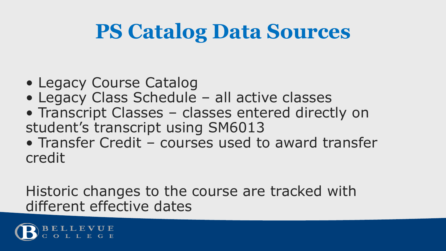### **PS Catalog Data Sources**

- Legacy Course Catalog
- Legacy Class Schedule all active classes
- Transcript Classes classes entered directly on student's transcript using SM6013
- Transfer Credit courses used to award transfer credit

Historic changes to the course are tracked with different effective dates

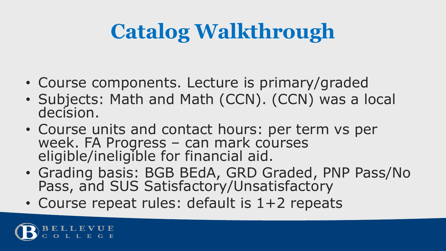# **Catalog Walkthrough**

- Course components. Lecture is primary/graded
- Subjects: Math and Math (CCN). (CCN) was a local decision.
- Course units and contact hours: per term vs per week. FA Progress – can mark courses eligible/ineligible for financial aid.
- Grading basis: BGB BEdA, GRD Graded, PNP Pass/No Pass, and SUS Satisfactory/Unsatisfactory
- Course repeat rules: default is 1+2 repeats

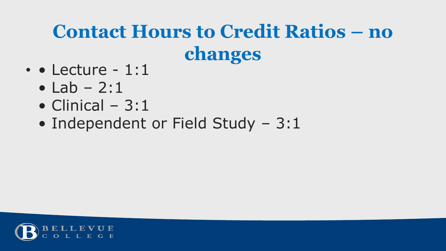### **Contact Hours to Credit Ratios – no changes**

- • Lecture 1:1
	- $\bullet$  Lab 2:1
	- Clinical  $3:1$
	- Independent or Field Study 3:1

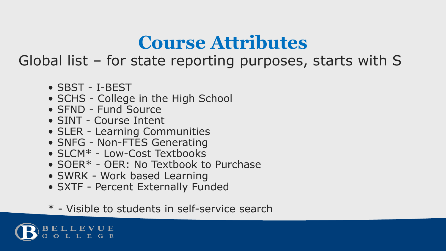### **Course Attributes**

Global list – for state reporting purposes, starts with S

- SBST I-BEST
- SCHS College in the High School
- SFND Fund Source
- SINT Course Intent
- SLER Learning Communities
- SNFG Non-FTES Generating
- SLCM\* Low-Cost Textbooks
- SOER\* OER: No Textbook to Purchase
- SWRK Work based Learning
- SXTF Percent Externally Funded
- \* Visible to students in self-service search

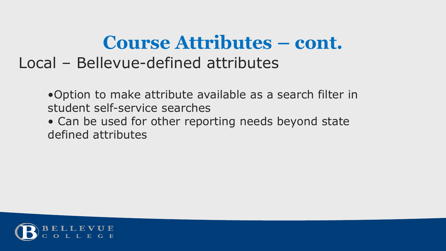#### **Course Attributes – cont.** Local – Bellevue-defined attributes

•Option to make attribute available as a search filter in student self-service searches

• Can be used for other reporting needs beyond state defined attributes

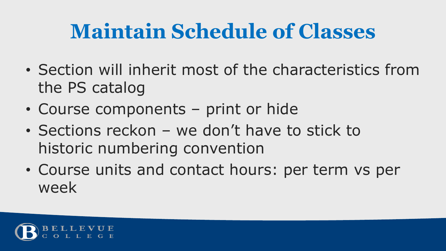## **Maintain Schedule of Classes**

- Section will inherit most of the characteristics from the PS catalog
- Course components print or hide
- Sections reckon we don't have to stick to historic numbering convention
- Course units and contact hours: per term vs per week

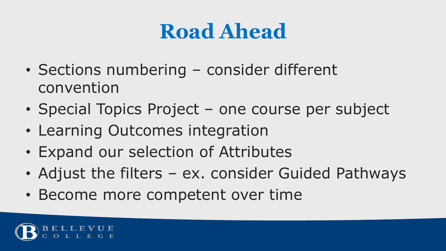## **Road Ahead**

- Sections numbering consider different convention
- Special Topics Project one course per subject
- Learning Outcomes integration
- Expand our selection of Attributes
- Adjust the filters ex. consider Guided Pathways
- Become more competent over time

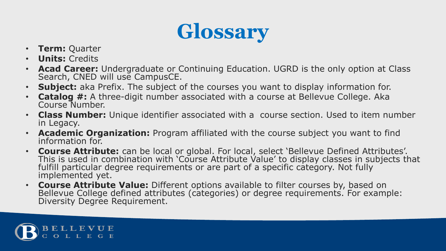## **Glossary**

- **Term:** Quarter
- **Units:** Credits
- **Acad Career:** Undergraduate or Continuing Education. UGRD is the only option at Class Search, CNED will use CampusCE.
- **Subject:** aka Prefix. The subject of the courses you want to display information for.
- **Catalog #:** A three-digit number associated with a course at Bellevue College. Aka Course Number.
- **Class Number:** Unique identifier associated with a course section. Used to item number in Legacy.
- **Academic Organization:** Program affiliated with the course subject you want to find information for.
- **Course Attribute:** can be local or global. For local, select 'Bellevue Defined Attributes'. This is used in combination with 'Course Attribute Value' to display classes in subjects that fulfill particular degree requirements or are part of a specific category. Not fully implemented yet.
- **Course Attribute Value:** Different options available to filter courses by, based on Bellevue College defined attributes (categories) or degree requirements. For example: Diversity Degree Requirement.